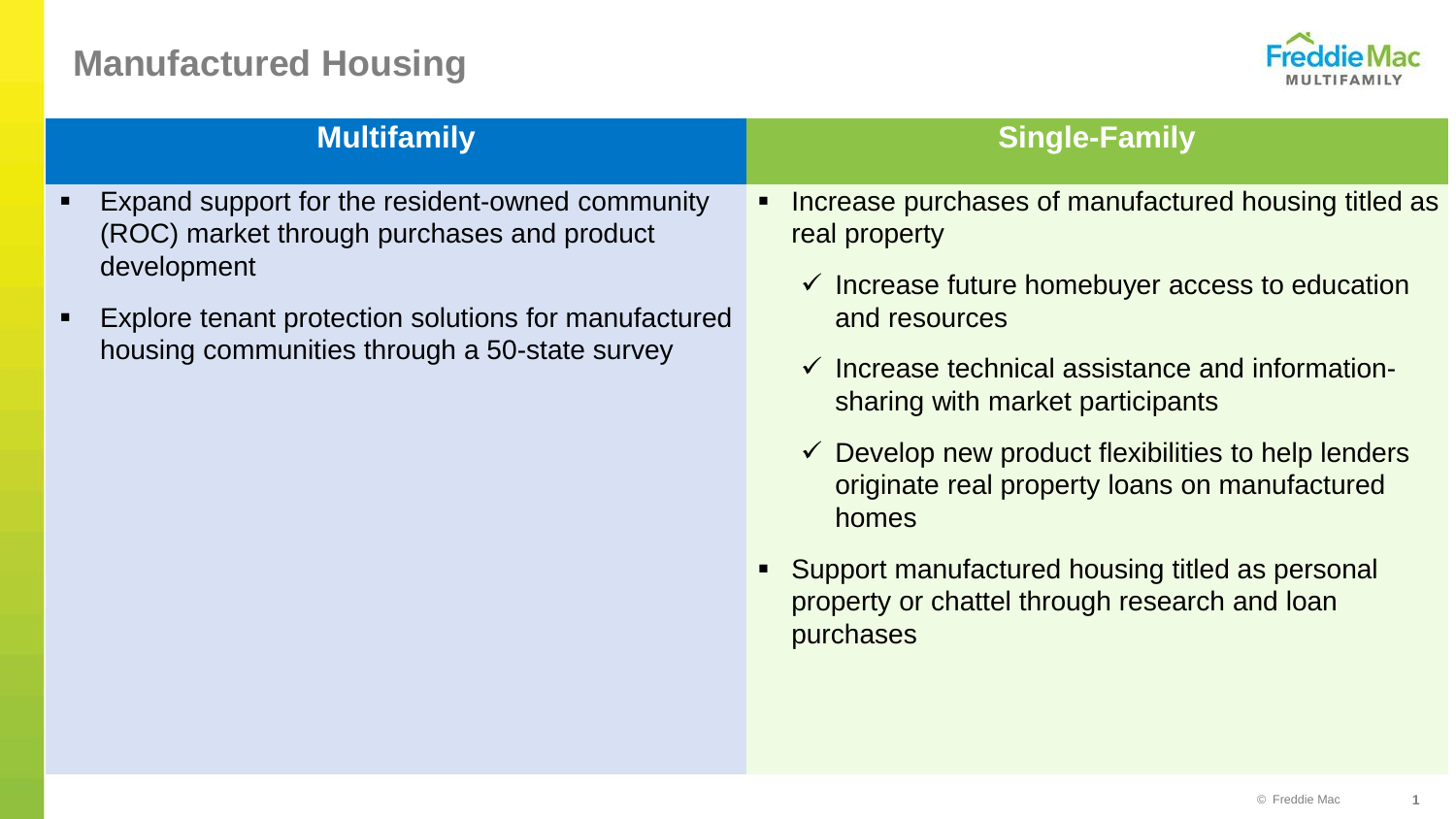# **Manufactured Housing**



| <b>Multifamily</b>                                                                                                                                                                                                              | <b>Single-Family</b>                                                                                                                                                                                                                                                                                                                                                                                                                                                                                   |
|---------------------------------------------------------------------------------------------------------------------------------------------------------------------------------------------------------------------------------|--------------------------------------------------------------------------------------------------------------------------------------------------------------------------------------------------------------------------------------------------------------------------------------------------------------------------------------------------------------------------------------------------------------------------------------------------------------------------------------------------------|
| Expand support for the resident-owned community<br>Ξ<br>(ROC) market through purchases and product<br>development<br>Explore tenant protection solutions for manufactured<br>Ξ<br>housing communities through a 50-state survey | Increase purchases of manufactured housing titled as<br>real property<br>$\checkmark$ Increase future homebuyer access to education<br>and resources<br>$\checkmark$ Increase technical assistance and information-<br>sharing with market participants<br>$\checkmark$ Develop new product flexibilities to help lenders<br>originate real property loans on manufactured<br>homes<br>• Support manufactured housing titled as personal<br>property or chattel through research and loan<br>purchases |
|                                                                                                                                                                                                                                 |                                                                                                                                                                                                                                                                                                                                                                                                                                                                                                        |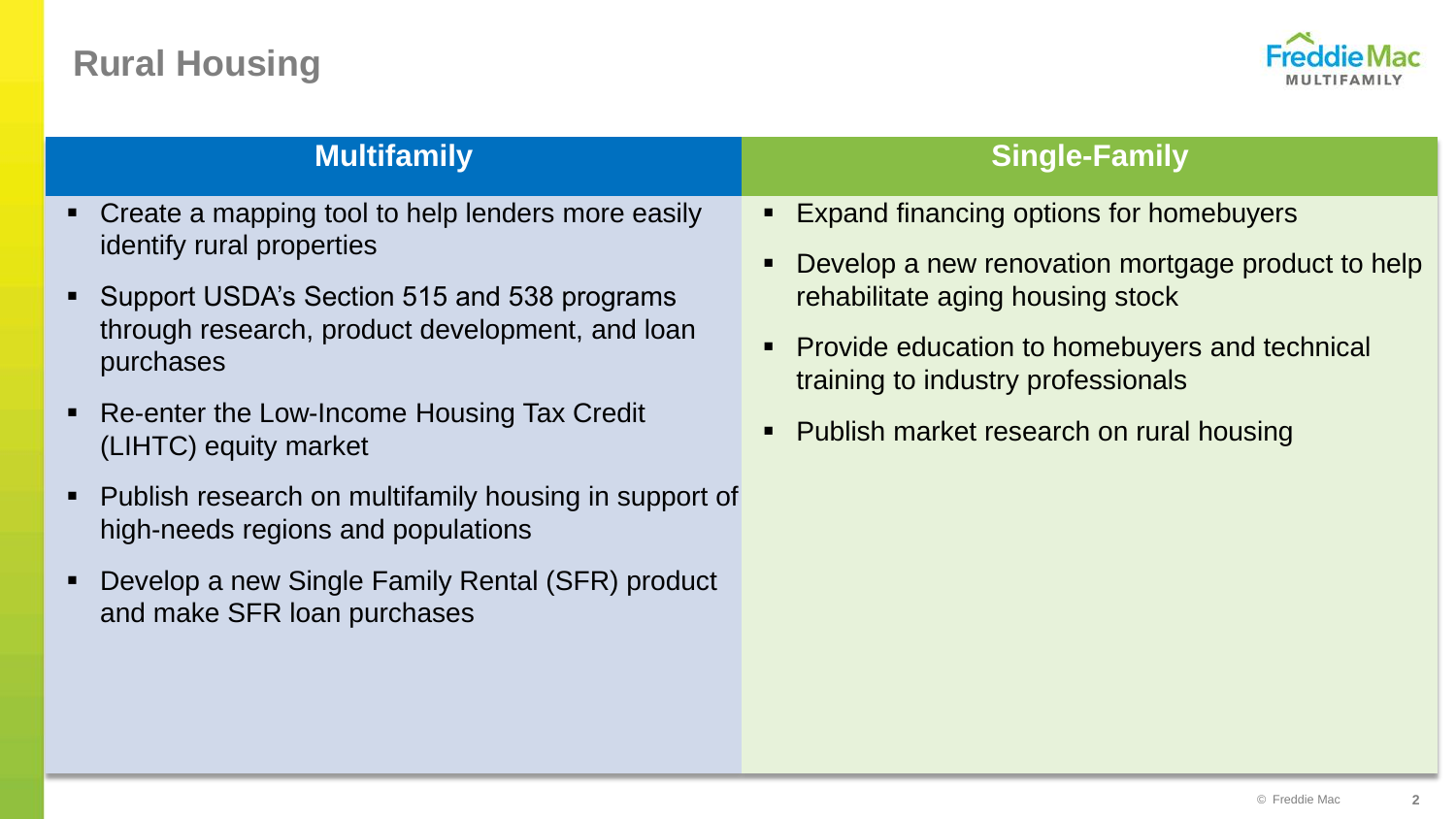# **Rural Housing**



# **Multifamily -** Create a mapping tool to help lenders more easily identify rural properties through research, product development, and loan purchases (LIHTC) equity market **Single-Family** rehabilitate aging housing stock training to industry professionals

© Freddie Mac **2**

- 
- Support USDA's Section 515 and 538 programs
- Re-enter the Low-Income Housing Tax Credit
- Publish research on multifamily housing in support of high-needs regions and populations
- Develop a new Single Family Rental (SFR) product and make SFR loan purchases
- Expand financing options for homebuyers
- Develop a new renovation mortgage product to help
- **Provide education to homebuyers and technical**
- Publish market research on rural housing